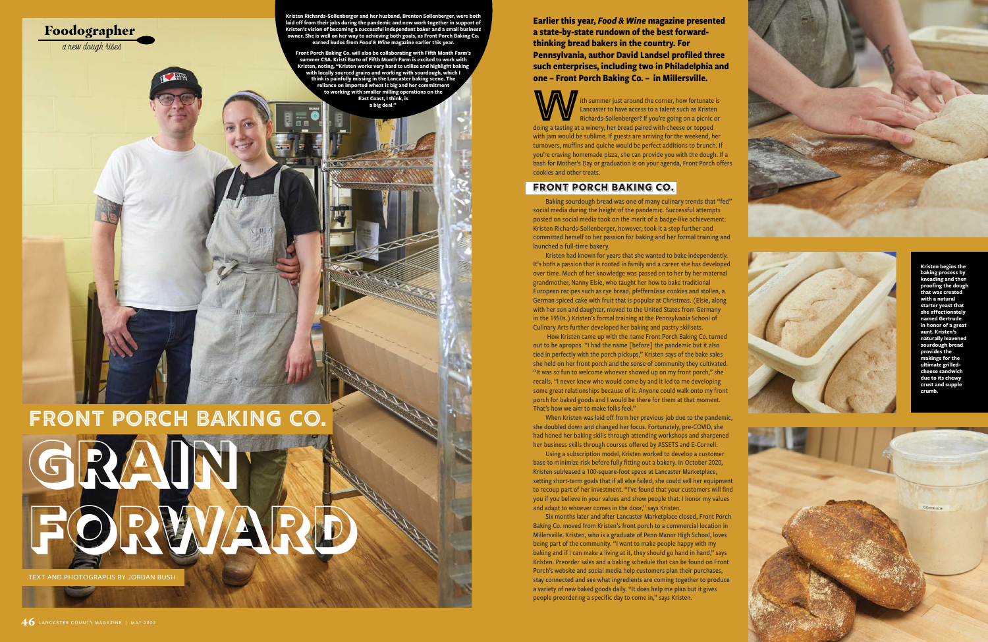

Foodographer

a new dough rises

**Earlier this year,** *Food & Wine* **magazine presented a state-by-state rundown of the best forwardthinking bread bakers in the country. For Pennsylvania, author David Landsel profiled three such enterprises, including two in Philadelphia and one – Front Porch Baking Co. – in Millersville.** 

Ith summer just around the corner, how fortunate is<br>
Lancaster to have access to a talent such as Kristen<br>
Richards-Sollenberger? If you're going on a picnic or<br>
doing a tasting at a winery, her bread paired with cheese or Lancaster to have access to a talent such as Kristen Richards-Sollenberger? If you're going on a picnic or with jam would be sublime. If guests are arriving for the weekend, her turnovers, muffins and quiche would be perfect additions to brunch. If you're craving homemade pizza, she can provide you with the dough. If a bash for Mother's Day or graduation is on your agenda, Front Porch offers cookies and other treats.

#### **Front Porch Baking Co.**

Baking sourdough bread was one of many culinary trends that "fed" social media during the height of the pandemic. Successful attempts posted on social media took on the merit of a badge-like achievement. Kristen Richards-Sollenberger, however, took it a step further and committed herself to her passion for baking and her formal training and launched a full-time bakery.

Kristen had known for years that she wanted to bake independently. It's both a passion that is rooted in family and a career she has developed over time. Much of her knowledge was passed on to her by her maternal grandmother, Nanny Elsie, who taught her how to bake traditional European recipes such as rye bread, pfeffernüsse cookies and stollen, a German spiced cake with fruit that is popular at Christmas. (Elsie, along with her son and daughter, moved to the United States from Germany in the 1950s.) Kristen's formal training at the Pennsylvania School of Culinary Arts further developed her baking and pastry skillsets.

How Kristen came up with the name Front Porch Baking Co. turned out to be apropos. "I had the name [before] the pandemic but it also tied in perfectly with the porch pickups," Kristen says of the bake sales she held on her front porch and the sense of community they cultivated. "It was so fun to welcome whoever showed up on my front porch," she recalls. "I never knew who would come by and it led to me developing some great relationships because of it. Anyone could walk onto my front porch for baked goods and I would be there for them at that moment. That's how we aim to make folks feel."

When Kristen was laid off from her previous job due to the pandemic, she doubled down and changed her focus. Fortunately, pre-COVID, she had honed her baking skills through attending workshops and sharpened her business skills through courses offered by ASSETS and E-Cornell.

Using a subscription model, Kristen worked to develop a customer base to minimize risk before fully fitting out a bakery. In October 2020, Kristen subleased a 100-square-foot space at Lancaster Marketplace, setting short-term goals that if all else failed, she could sell her equipment to recoup part of her investment. "I've found that your customers will find you if you believe in your values and show people that. I honor my values and adapt to whoever comes in the door," says Kristen.

Six months later and after Lancaster Marketplace closed, Front Porch Baking Co. moved from Kristen's front porch to a commercial location in Millersville. Kristen, who is a graduate of Penn Manor High School, loves being part of the community. "I want to make people happy with my baking and if I can make a living at it, they should go hand in hand," says Kristen. Preorder sales and a baking schedule that can be found on Front Porch's website and social media help customers plan their purchases, stay connected and see what ingredients are coming together to produce a variety of new baked goods daily. "It does help me plan but it gives people preordering a specific day to come in," says Kristen.





**Front Porch Baking Co. Grain Forward** TEXT AND PHOTOGRAPHS BY JORDAN BUSH

**Kristen begins the baking process by kneading and then proofing the dough that was created with a natural starter yeast that she affectionately named Gertrude in honor of a great aunt. Kristen's naturally lea**v **sourdough bread provides the makings for the ultimate grilledcheese sandwich due to its chewy crust and supple crumb.**

**Kristen Richards-Sollenberger and her husband, Brenton Sollenberger, were both laid off from their jobs during the pandemic and now work together in support of**  Kristen's vision of becoming a successful independent baker and a small **by owner. She is well on her way to achieving both goals, as Front Porch Baking Co. earned kudos from** *Food & Wine* **magazine earlier this year.** 

**Front Porch Baking Co. will also be collaborating with Fifth Month Farm's summer CSA. Kristi Barto of Fifth Month Farm is excited to work with Kristen, noting, "Kristen works very hard to utilize and highlight baking**  with locally sourced grains and working with sourdough, **v think is painfully missing in the Lancaster baking scene. The ance on imported wheat is big and her com to working with smaller milling operations on the East Coast, I think, is a big deal."**